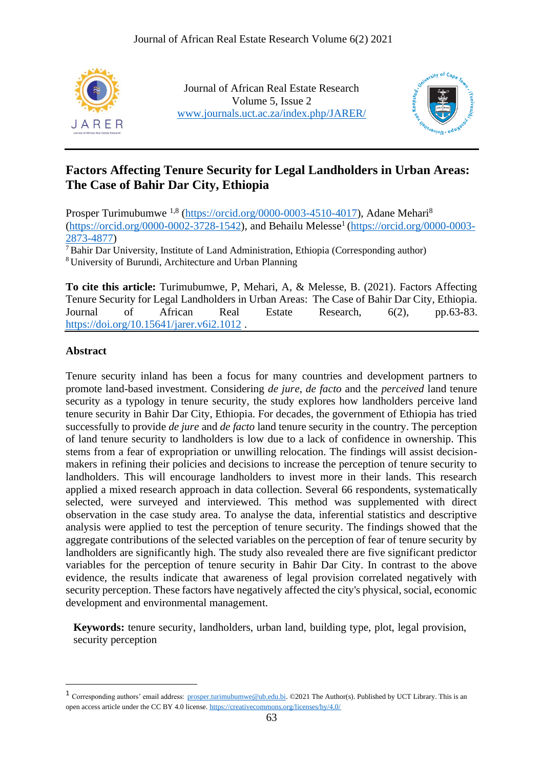

Journal of African Real Estate Research Volume 5, Issue 2 [www.journals.uct.ac.za/index.php/JARER/](http://www.journals.uct.ac.za/index.php/JARER/)



# **Factors Affecting Tenure Security for Legal Landholders in Urban Areas: The Case of Bahir Dar City, Ethiopia**

Prosper Turimubumwe <sup>1,8</sup> [\(https://orcid.org/0000-0003-4510-4017\)](https://orcid.org/0000-0003-4510-4017), Adane Mehari<sup>8</sup>  $(\text{https://orcid.org/0000-0002-3728-1542})$ , and Behailu Melesse<sup>1</sup> [\(https://orcid.org/0000-0003-](https://orcid.org/0000-0003-2873-4877) [2873-4877\)](https://orcid.org/0000-0003-2873-4877)

<sup>7</sup>Bahir Dar University, Institute of Land Administration, Ethiopia (Corresponding author) <sup>8</sup> University of Burundi, Architecture and Urban Planning

**To cite this article:** Turimubumwe, P, Mehari, A, & Melesse, B. (2021). Factors Affecting Tenure Security for Legal Landholders in Urban Areas: The Case of Bahir Dar City, Ethiopia. Journal of African Real Estate Research, 6(2), pp.63-83. <https://doi.org/10.15641/jarer.v6i2.1012> .

### **Abstract**

Tenure security inland has been a focus for many countries and development partners to promote land-based investment. Considering *de jure, de facto* and the *perceived* land tenure security as a typology in tenure security, the study explores how landholders perceive land tenure security in Bahir Dar City, Ethiopia. For decades, the government of Ethiopia has tried successfully to provide *de jure* and *de facto* land tenure security in the country. The perception of land tenure security to landholders is low due to a lack of confidence in ownership. This stems from a fear of expropriation or unwilling relocation. The findings will assist decisionmakers in refining their policies and decisions to increase the perception of tenure security to landholders. This will encourage landholders to invest more in their lands. This research applied a mixed research approach in data collection. Several 66 respondents, systematically selected, were surveyed and interviewed. This method was supplemented with direct observation in the case study area. To analyse the data, inferential statistics and descriptive analysis were applied to test the perception of tenure security. The findings showed that the aggregate contributions of the selected variables on the perception of fear of tenure security by landholders are significantly high. The study also revealed there are five significant predictor variables for the perception of tenure security in Bahir Dar City. In contrast to the above evidence, the results indicate that awareness of legal provision correlated negatively with security perception. These factors have negatively affected the city's physical, social, economic development and environmental management.

**Keywords:** tenure security, landholders, urban land, building type, plot, legal provision, security perception

<sup>&</sup>lt;sup>1</sup> Corresponding authors' email address: [prosper.turimubumwe@ub.edu.bi.](mailto:prosper.turimubumwe@ub.edu.bi) ©2021 The Author(s). Published by UCT Library. This is an open access article under the CC BY 4.0 license.<https://creativecommons.org/licenses/by/4.0/>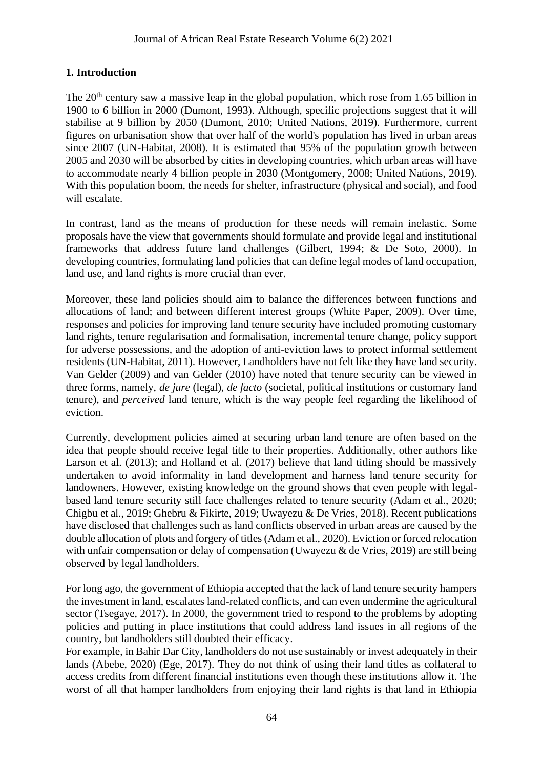## **1. Introduction**

The 20<sup>th</sup> century saw a massive leap in the global population, which rose from 1.65 billion in 1900 to 6 billion in 2000 (Dumont, 1993). Although, specific projections suggest that it will stabilise at 9 billion by 2050 (Dumont, 2010; United Nations, 2019). Furthermore, current figures on urbanisation show that over half of the world's population has lived in urban areas since 2007 (UN-Habitat, 2008). It is estimated that 95% of the population growth between 2005 and 2030 will be absorbed by cities in developing countries, which urban areas will have to accommodate nearly 4 billion people in 2030 (Montgomery, 2008; United Nations, 2019). With this population boom, the needs for shelter, infrastructure (physical and social), and food will escalate.

In contrast, land as the means of production for these needs will remain inelastic. Some proposals have the view that governments should formulate and provide legal and institutional frameworks that address future land challenges (Gilbert, 1994; & De Soto, 2000). In developing countries, formulating land policies that can define legal modes of land occupation, land use, and land rights is more crucial than ever.

Moreover, these land policies should aim to balance the differences between functions and allocations of land; and between different interest groups (White Paper, 2009). Over time, responses and policies for improving land tenure security have included promoting customary land rights, tenure regularisation and formalisation, incremental tenure change, policy support for adverse possessions, and the adoption of anti-eviction laws to protect informal settlement residents (UN-Habitat, 2011). However, Landholders have not felt like they have land security. Van Gelder (2009) and van Gelder (2010) have noted that tenure security can be viewed in three forms, namely, *de jure* (legal), *de facto* (societal, political institutions or customary land tenure), and *perceived* land tenure, which is the way people feel regarding the likelihood of eviction.

Currently, development policies aimed at securing urban land tenure are often based on the idea that people should receive legal title to their properties. Additionally, other authors like Larson et al. (2013); and Holland et al. (2017) believe that land titling should be massively undertaken to avoid informality in land development and harness land tenure security for landowners. However, existing knowledge on the ground shows that even people with legalbased land tenure security still face challenges related to tenure security (Adam et al., 2020; Chigbu et al., 2019; Ghebru & Fikirte, 2019; Uwayezu & De Vries, 2018). Recent publications have disclosed that challenges such as land conflicts observed in urban areas are caused by the double allocation of plots and forgery of titles (Adam et al., 2020). Eviction or forced relocation with unfair compensation or delay of compensation (Uwayezu & de Vries, 2019) are still being observed by legal landholders.

For long ago, the government of Ethiopia accepted that the lack of land tenure security hampers the investment in land, escalates land-related conflicts, and can even undermine the agricultural sector (Tsegaye, 2017). In 2000, the government tried to respond to the problems by adopting policies and putting in place institutions that could address land issues in all regions of the country, but landholders still doubted their efficacy.

For example, in Bahir Dar City, landholders do not use sustainably or invest adequately in their lands (Abebe, 2020) (Ege, 2017). They do not think of using their land titles as collateral to access credits from different financial institutions even though these institutions allow it. The worst of all that hamper landholders from enjoying their land rights is that land in Ethiopia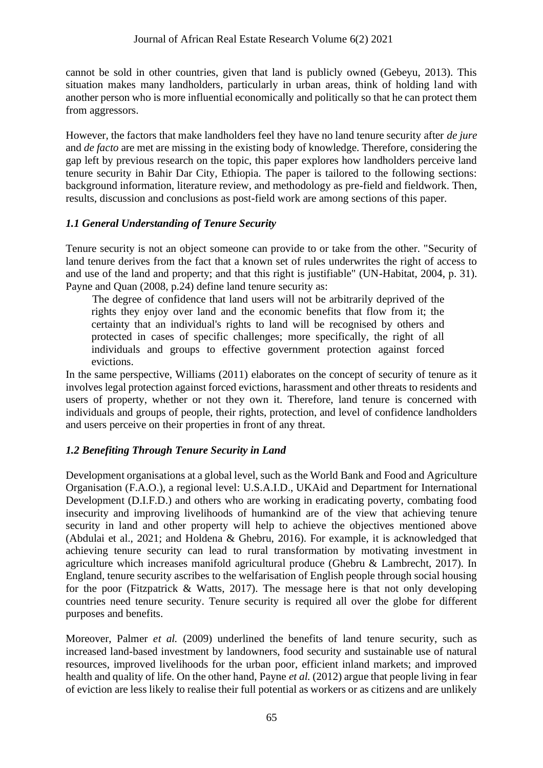cannot be sold in other countries, given that land is publicly owned (Gebeyu, 2013). This situation makes many landholders, particularly in urban areas, think of holding land with another person who is more influential economically and politically so that he can protect them from aggressors.

However, the factors that make landholders feel they have no land tenure security after *de jure* and *de facto* are met are missing in the existing body of knowledge. Therefore, considering the gap left by previous research on the topic, this paper explores how landholders perceive land tenure security in Bahir Dar City, Ethiopia. The paper is tailored to the following sections: background information, literature review, and methodology as pre-field and fieldwork. Then, results, discussion and conclusions as post-field work are among sections of this paper.

## *1.1 General Understanding of Tenure Security*

Tenure security is not an object someone can provide to or take from the other. "Security of land tenure derives from the fact that a known set of rules underwrites the right of access to and use of the land and property; and that this right is justifiable" (UN-Habitat, 2004, p. 31). Payne and Quan (2008, p.24) define land tenure security as:

 The degree of confidence that land users will not be arbitrarily deprived of the rights they enjoy over land and the economic benefits that flow from it; the certainty that an individual's rights to land will be recognised by others and protected in cases of specific challenges; more specifically, the right of all individuals and groups to effective government protection against forced evictions.

In the same perspective, Williams (2011) elaborates on the concept of security of tenure as it involves legal protection against forced evictions, harassment and other threats to residents and users of property, whether or not they own it. Therefore, land tenure is concerned with individuals and groups of people, their rights, protection, and level of confidence landholders and users perceive on their properties in front of any threat.

## *1.2 Benefiting Through Tenure Security in Land*

Development organisations at a global level, such as the World Bank and Food and Agriculture Organisation (F.A.O.), a regional level: U.S.A.I.D., UKAid and Department for International Development (D.I.F.D.) and others who are working in eradicating poverty, combating food insecurity and improving livelihoods of humankind are of the view that achieving tenure security in land and other property will help to achieve the objectives mentioned above (Abdulai et al., 2021; and Holdena & Ghebru, 2016). For example, it is acknowledged that achieving tenure security can lead to rural transformation by motivating investment in agriculture which increases manifold agricultural produce (Ghebru & Lambrecht, 2017). In England, tenure security ascribes to the welfarisation of English people through social housing for the poor (Fitzpatrick  $\&$  Watts, 2017). The message here is that not only developing countries need tenure security. Tenure security is required all over the globe for different purposes and benefits.

Moreover, Palmer *et al.* (2009) underlined the benefits of land tenure security, such as increased land-based investment by landowners, food security and sustainable use of natural resources, improved livelihoods for the urban poor, efficient inland markets; and improved health and quality of life. On the other hand, Payne *et al.* (2012) argue that people living in fear of eviction are less likely to realise their full potential as workers or as citizens and are unlikely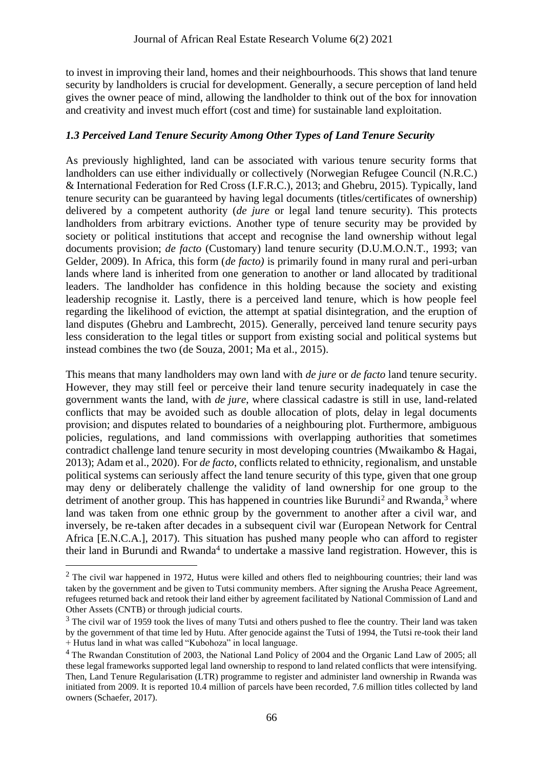to invest in improving their land, homes and their neighbourhoods. This shows that land tenure security by landholders is crucial for development. Generally, a secure perception of land held gives the owner peace of mind, allowing the landholder to think out of the box for innovation and creativity and invest much effort (cost and time) for sustainable land exploitation.

### *1.3 Perceived Land Tenure Security Among Other Types of Land Tenure Security*

As previously highlighted, land can be associated with various tenure security forms that landholders can use either individually or collectively (Norwegian Refugee Council (N.R.C.) & International Federation for Red Cross (I.F.R.C.), 2013; and Ghebru, 2015). Typically, land tenure security can be guaranteed by having legal documents (titles/certificates of ownership) delivered by a competent authority (*de jure* or legal land tenure security). This protects landholders from arbitrary evictions. Another type of tenure security may be provided by society or political institutions that accept and recognise the land ownership without legal documents provision; *de facto* (Customary) land tenure security (D.U.M.O.N.T., 1993; van Gelder, 2009). In Africa, this form (*de facto)* is primarily found in many rural and peri-urban lands where land is inherited from one generation to another or land allocated by traditional leaders. The landholder has confidence in this holding because the society and existing leadership recognise it. Lastly, there is a perceived land tenure, which is how people feel regarding the likelihood of eviction, the attempt at spatial disintegration, and the eruption of land disputes (Ghebru and Lambrecht, 2015). Generally, perceived land tenure security pays less consideration to the legal titles or support from existing social and political systems but instead combines the two (de Souza, 2001; Ma et al., 2015).

This means that many landholders may own land with *de jure* or *de facto* land tenure security. However, they may still feel or perceive their land tenure security inadequately in case the government wants the land, with *de jure*, where classical cadastre is still in use, land-related conflicts that may be avoided such as double allocation of plots, delay in legal documents provision; and disputes related to boundaries of a neighbouring plot. Furthermore, ambiguous policies, regulations, and land commissions with overlapping authorities that sometimes contradict challenge land tenure security in most developing countries (Mwaikambo & Hagai, 2013); Adam et al., 2020). For *de facto*, conflicts related to ethnicity, regionalism, and unstable political systems can seriously affect the land tenure security of this type, given that one group may deny or deliberately challenge the validity of land ownership for one group to the detriment of another group. This has happened in countries like Burundi<sup>2</sup> and Rwanda,<sup>3</sup> where land was taken from one ethnic group by the government to another after a civil war, and inversely, be re-taken after decades in a subsequent civil war (European Network for Central Africa [E.N.C.A.], 2017). This situation has pushed many people who can afford to register their land in Burundi and Rwanda<sup>4</sup> to undertake a massive land registration. However, this is

<sup>&</sup>lt;sup>2</sup> The civil war happened in 1972, Hutus were killed and others fled to neighbouring countries; their land was taken by the government and be given to Tutsi community members. After signing the Arusha Peace Agreement, refugees returned back and retook their land either by agreement facilitated by National Commission of Land and Other Assets (CNTB) or through judicial courts.

<sup>&</sup>lt;sup>3</sup> The civil war of 1959 took the lives of many Tutsi and others pushed to flee the country. Their land was taken by the government of that time led by Hutu. After genocide against the Tutsi of 1994, the Tutsi re-took their land + Hutus land in what was called "Kubohoza" in local language.

<sup>4</sup> The Rwandan Constitution of 2003, the National Land Policy of 2004 and the Organic Land Law of 2005; all these legal frameworks supported legal land ownership to respond to land related conflicts that were intensifying. Then, Land Tenure Regularisation (LTR) programme to register and administer land ownership in Rwanda was initiated from 2009. It is reported 10.4 million of parcels have been recorded, 7.6 million titles collected by land owners (Schaefer, 2017).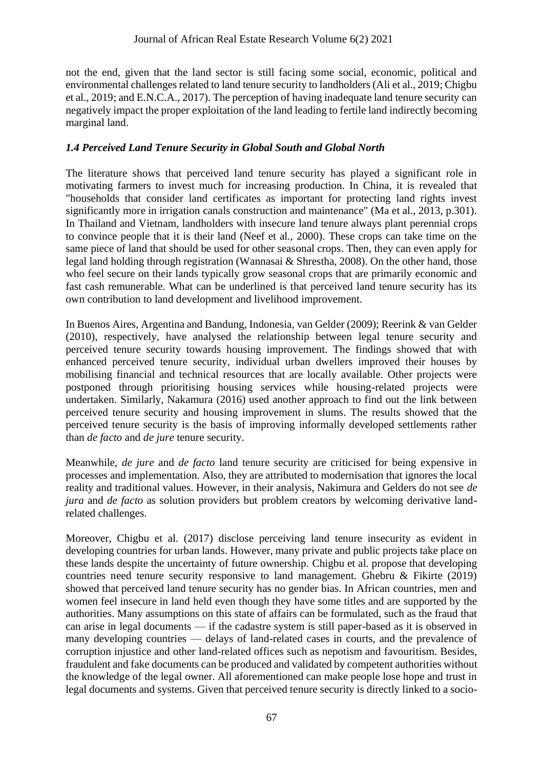not the end, given that the land sector is still facing some social, economic, political and environmental challenges related to land tenure security to landholders (Ali et al., 2019; Chigbu et al., 2019; and E.N.C.A., 2017). The perception of having inadequate land tenure security can negatively impact the proper exploitation of the land leading to fertile land indirectly becoming marginal land.

## *1.4 Perceived Land Tenure Security in Global South and Global North*

The literature shows that perceived land tenure security has played a significant role in motivating farmers to invest much for increasing production. In China, it is revealed that "households that consider land certificates as important for protecting land rights invest significantly more in irrigation canals construction and maintenance" (Ma et al., 2013, p.301). In Thailand and Vietnam, landholders with insecure land tenure always plant perennial crops to convince people that it is their land (Neef et al., 2000). These crops can take time on the same piece of land that should be used for other seasonal crops. Then, they can even apply for legal land holding through registration (Wannasai & Shrestha, 2008). On the other hand, those who feel secure on their lands typically grow seasonal crops that are primarily economic and fast cash remunerable. What can be underlined is that perceived land tenure security has its own contribution to land development and livelihood improvement.

In Buenos Aires, Argentina and Bandung, Indonesia, van Gelder (2009); Reerink & van Gelder (2010), respectively, have analysed the relationship between legal tenure security and perceived tenure security towards housing improvement. The findings showed that with enhanced perceived tenure security, individual urban dwellers improved their houses by mobilising financial and technical resources that are locally available. Other projects were postponed through prioritising housing services while housing-related projects were undertaken. Similarly, Nakamura (2016) used another approach to find out the link between perceived tenure security and housing improvement in slums. The results showed that the perceived tenure security is the basis of improving informally developed settlements rather than *de facto* and *de jure* tenure security.

Meanwhile, *de jure* and *de facto* land tenure security are criticised for being expensive in processes and implementation. Also, they are attributed to modernisation that ignores the local reality and traditional values. However, in their analysis, Nakimura and Gelders do not see *de jura* and *de facto* as solution providers but problem creators by welcoming derivative landrelated challenges.

Moreover, Chigbu et al. (2017) disclose perceiving land tenure insecurity as evident in developing countries for urban lands. However, many private and public projects take place on these lands despite the uncertainty of future ownership. Chigbu et al. propose that developing countries need tenure security responsive to land management. Ghebru & Fikirte (2019) showed that perceived land tenure security has no gender bias. In African countries, men and women feel insecure in land held even though they have some titles and are supported by the authorities. Many assumptions on this state of affairs can be formulated, such as the fraud that can arise in legal documents — if the cadastre system is still paper-based as it is observed in many developing countries — delays of land-related cases in courts, and the prevalence of corruption injustice and other land-related offices such as nepotism and favouritism. Besides, fraudulent and fake documents can be produced and validated by competent authorities without the knowledge of the legal owner. All aforementioned can make people lose hope and trust in legal documents and systems. Given that perceived tenure security is directly linked to a socio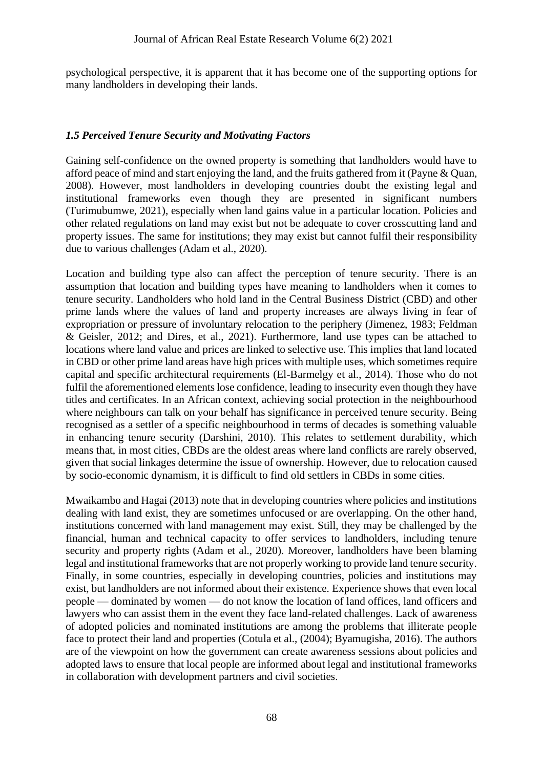psychological perspective, it is apparent that it has become one of the supporting options for many landholders in developing their lands.

### *1.5 Perceived Tenure Security and Motivating Factors*

Gaining self-confidence on the owned property is something that landholders would have to afford peace of mind and start enjoying the land, and the fruits gathered from it (Payne & Quan, 2008). However, most landholders in developing countries doubt the existing legal and institutional frameworks even though they are presented in significant numbers (Turimubumwe, 2021), especially when land gains value in a particular location. Policies and other related regulations on land may exist but not be adequate to cover crosscutting land and property issues. The same for institutions; they may exist but cannot fulfil their responsibility due to various challenges (Adam et al., 2020).

Location and building type also can affect the perception of tenure security. There is an assumption that location and building types have meaning to landholders when it comes to tenure security. Landholders who hold land in the Central Business District (CBD) and other prime lands where the values of land and property increases are always living in fear of expropriation or pressure of involuntary relocation to the periphery (Jimenez, 1983; Feldman & Geisler, 2012; and Dires, et al., 2021). Furthermore, land use types can be attached to locations where land value and prices are linked to selective use. This implies that land located in CBD or other prime land areas have high prices with multiple uses, which sometimes require capital and specific architectural requirements (El-Barmelgy et al., 2014). Those who do not fulfil the aforementioned elements lose confidence, leading to insecurity even though they have titles and certificates. In an African context, achieving social protection in the neighbourhood where neighbours can talk on your behalf has significance in perceived tenure security. Being recognised as a settler of a specific neighbourhood in terms of decades is something valuable in enhancing tenure security (Darshini, 2010). This relates to settlement durability, which means that, in most cities, CBDs are the oldest areas where land conflicts are rarely observed, given that social linkages determine the issue of ownership. However, due to relocation caused by socio-economic dynamism, it is difficult to find old settlers in CBDs in some cities.

Mwaikambo and Hagai (2013) note that in developing countries where policies and institutions dealing with land exist, they are sometimes unfocused or are overlapping. On the other hand, institutions concerned with land management may exist. Still, they may be challenged by the financial, human and technical capacity to offer services to landholders, including tenure security and property rights (Adam et al., 2020). Moreover, landholders have been blaming legal and institutional frameworks that are not properly working to provide land tenure security. Finally, in some countries, especially in developing countries, policies and institutions may exist, but landholders are not informed about their existence. Experience shows that even local people — dominated by women — do not know the location of land offices, land officers and lawyers who can assist them in the event they face land-related challenges. Lack of awareness of adopted policies and nominated institutions are among the problems that illiterate people face to protect their land and properties (Cotula et al., (2004); Byamugisha, 2016). The authors are of the viewpoint on how the government can create awareness sessions about policies and adopted laws to ensure that local people are informed about legal and institutional frameworks in collaboration with development partners and civil societies.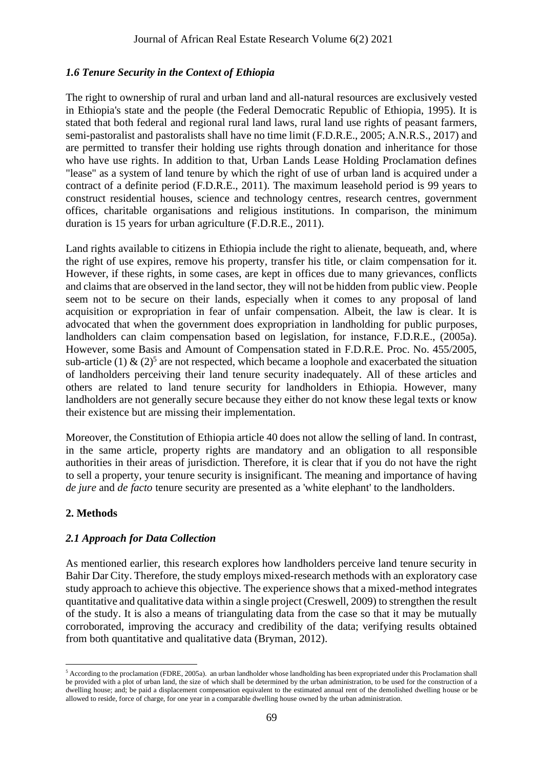### *1.6 Tenure Security in the Context of Ethiopia*

The right to ownership of rural and urban land and all-natural resources are exclusively vested in Ethiopia's state and the people (the Federal Democratic Republic of Ethiopia, 1995). It is stated that both federal and regional rural land laws, rural land use rights of peasant farmers, semi-pastoralist and pastoralists shall have no time limit (F.D.R.E., 2005; A.N.R.S., 2017) and are permitted to transfer their holding use rights through donation and inheritance for those who have use rights. In addition to that, Urban Lands Lease Holding Proclamation defines "lease" as a system of land tenure by which the right of use of urban land is acquired under a contract of a definite period (F.D.R.E., 2011). The maximum leasehold period is 99 years to construct residential houses, science and technology centres, research centres, government offices, charitable organisations and religious institutions. In comparison, the minimum duration is 15 years for urban agriculture (F.D.R.E., 2011).

Land rights available to citizens in Ethiopia include the right to alienate, bequeath, and, where the right of use expires, remove his property, transfer his title, or claim compensation for it. However, if these rights, in some cases, are kept in offices due to many grievances, conflicts and claims that are observed in the land sector, they will not be hidden from public view. People seem not to be secure on their lands, especially when it comes to any proposal of land acquisition or expropriation in fear of unfair compensation. Albeit, the law is clear. It is advocated that when the government does expropriation in landholding for public purposes, landholders can claim compensation based on legislation, for instance, F.D.R.E., (2005a). However, some Basis and Amount of Compensation stated in F.D.R.E. Proc. No. 455/2005, sub-article (1)  $\&$  (2)<sup>5</sup> are not respected, which became a loophole and exacerbated the situation of landholders perceiving their land tenure security inadequately. All of these articles and others are related to land tenure security for landholders in Ethiopia. However, many landholders are not generally secure because they either do not know these legal texts or know their existence but are missing their implementation.

Moreover, the Constitution of Ethiopia article 40 does not allow the selling of land. In contrast, in the same article, property rights are mandatory and an obligation to all responsible authorities in their areas of jurisdiction. Therefore, it is clear that if you do not have the right to sell a property, your tenure security is insignificant. The meaning and importance of having *de jure* and *de facto* tenure security are presented as a 'white elephant' to the landholders.

#### **2. Methods**

#### *2.1 Approach for Data Collection*

As mentioned earlier, this research explores how landholders perceive land tenure security in Bahir Dar City. Therefore, the study employs mixed-research methods with an exploratory case study approach to achieve this objective. The experience shows that a mixed-method integrates quantitative and qualitative data within a single project (Creswell, 2009) to strengthen the result of the study. It is also a means of triangulating data from the case so that it may be mutually corroborated, improving the accuracy and credibility of the data; verifying results obtained from both quantitative and qualitative data (Bryman, 2012).

<sup>5</sup> According to the proclamation (FDRE, 2005a). an urban landholder whose landholding has been expropriated under this Proclamation shall be provided with a plot of urban land, the size of which shall be determined by the urban administration, to be used for the construction of a dwelling house; and; be paid a displacement compensation equivalent to the estimated annual rent of the demolished dwelling house or be allowed to reside, force of charge, for one year in a comparable dwelling house owned by the urban administration.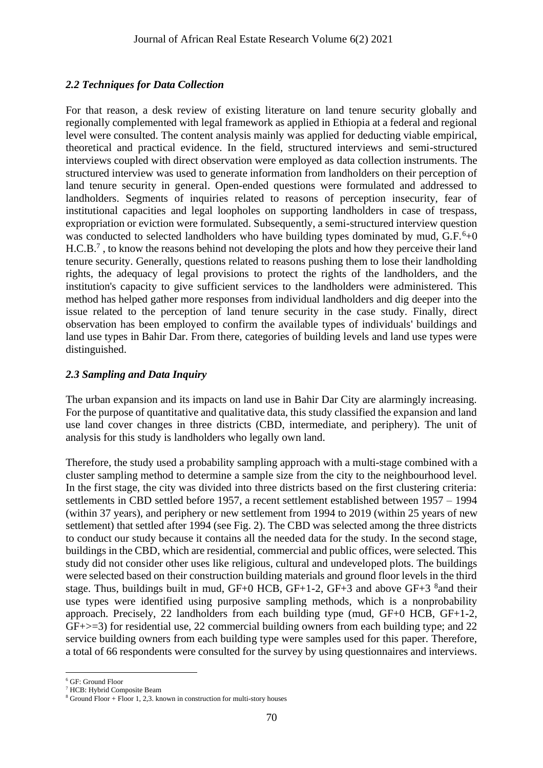### *2.2 Techniques for Data Collection*

For that reason, a desk review of existing literature on land tenure security globally and regionally complemented with legal framework as applied in Ethiopia at a federal and regional level were consulted. The content analysis mainly was applied for deducting viable empirical, theoretical and practical evidence. In the field, structured interviews and semi-structured interviews coupled with direct observation were employed as data collection instruments. The structured interview was used to generate information from landholders on their perception of land tenure security in general. Open-ended questions were formulated and addressed to landholders. Segments of inquiries related to reasons of perception insecurity, fear of institutional capacities and legal loopholes on supporting landholders in case of trespass, expropriation or eviction were formulated. Subsequently, a semi-structured interview question was conducted to selected landholders who have building types dominated by mud,  $G.F.^6+0$  $H.C.B.<sup>7</sup>$ , to know the reasons behind not developing the plots and how they perceive their land tenure security. Generally, questions related to reasons pushing them to lose their landholding rights, the adequacy of legal provisions to protect the rights of the landholders, and the institution's capacity to give sufficient services to the landholders were administered. This method has helped gather more responses from individual landholders and dig deeper into the issue related to the perception of land tenure security in the case study. Finally, direct observation has been employed to confirm the available types of individuals' buildings and land use types in Bahir Dar. From there, categories of building levels and land use types were distinguished.

#### *2.3 Sampling and Data Inquiry*

The urban expansion and its impacts on land use in Bahir Dar City are alarmingly increasing. For the purpose of quantitative and qualitative data, this study classified the expansion and land use land cover changes in three districts (CBD, intermediate, and periphery). The unit of analysis for this study is landholders who legally own land.

Therefore, the study used a probability sampling approach with a multi-stage combined with a cluster sampling method to determine a sample size from the city to the neighbourhood level. In the first stage, the city was divided into three districts based on the first clustering criteria: settlements in CBD settled before 1957, a recent settlement established between 1957 – 1994 (within 37 years), and periphery or new settlement from 1994 to 2019 (within 25 years of new settlement) that settled after 1994 (see Fig. 2). The CBD was selected among the three districts to conduct our study because it contains all the needed data for the study. In the second stage, buildings in the CBD, which are residential, commercial and public offices, were selected. This study did not consider other uses like religious, cultural and undeveloped plots. The buildings were selected based on their construction building materials and ground floor levels in the third stage. Thus, buildings built in mud,  $GF+0$  HCB,  $GF+1-2$ ,  $GF+3$  and above  $GF+3$   $^8$  and their use types were identified using purposive sampling methods, which is a nonprobability approach. Precisely, 22 landholders from each building type (mud, GF+0 HCB, GF+1-2,  $GF\rightarrow=3$ ) for residential use, 22 commercial building owners from each building type; and 22 service building owners from each building type were samples used for this paper. Therefore, a total of 66 respondents were consulted for the survey by using questionnaires and interviews.

<sup>6</sup> GF: Ground Floor

<sup>7</sup> HCB: Hybrid Composite Beam

 $8$  Ground Floor + Floor 1, 2,3. known in construction for multi-story houses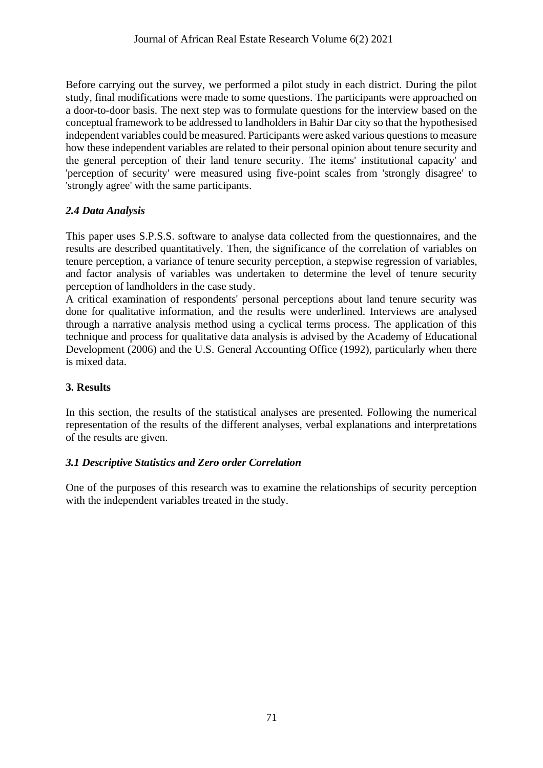Before carrying out the survey, we performed a pilot study in each district. During the pilot study, final modifications were made to some questions. The participants were approached on a door-to-door basis. The next step was to formulate questions for the interview based on the conceptual framework to be addressed to landholders in Bahir Dar city so that the hypothesised independent variables could be measured. Participants were asked various questions to measure how these independent variables are related to their personal opinion about tenure security and the general perception of their land tenure security. The items' institutional capacity' and 'perception of security' were measured using five-point scales from 'strongly disagree' to 'strongly agree' with the same participants.

## *2.4 Data Analysis*

This paper uses S.P.S.S. software to analyse data collected from the questionnaires, and the results are described quantitatively. Then, the significance of the correlation of variables on tenure perception, a variance of tenure security perception, a stepwise regression of variables, and factor analysis of variables was undertaken to determine the level of tenure security perception of landholders in the case study.

A critical examination of respondents' personal perceptions about land tenure security was done for qualitative information, and the results were underlined. Interviews are analysed through a narrative analysis method using a cyclical terms process. The application of this technique and process for qualitative data analysis is advised by the Academy of Educational Development (2006) and the U.S. General Accounting Office (1992), particularly when there is mixed data.

## **3. Results**

In this section, the results of the statistical analyses are presented. Following the numerical representation of the results of the different analyses, verbal explanations and interpretations of the results are given.

## *3.1 Descriptive Statistics and Zero order Correlation*

One of the purposes of this research was to examine the relationships of security perception with the independent variables treated in the study.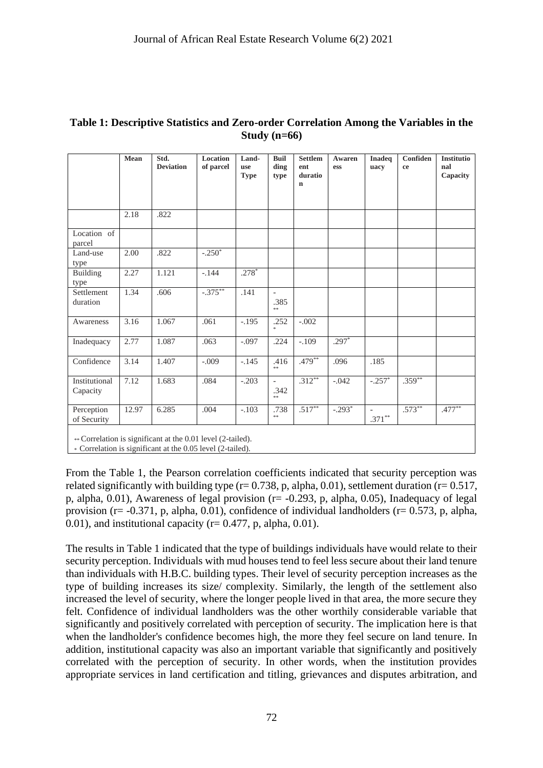|                                                                        | Mean  | Std.<br><b>Deviation</b> | Location<br>of parcel | Land-<br>use<br><b>Type</b> | <b>Buil</b><br>ding<br>type                    | <b>Settlem</b><br>ent<br>duratio<br>$\mathbf n$ | <b>Awaren</b><br>ess | <b>Inadeq</b><br>uacy                 | Confiden<br>ce | <b>Institutio</b><br>nal<br>Capacity |
|------------------------------------------------------------------------|-------|--------------------------|-----------------------|-----------------------------|------------------------------------------------|-------------------------------------------------|----------------------|---------------------------------------|----------------|--------------------------------------|
|                                                                        | 2.18  | .822                     |                       |                             |                                                |                                                 |                      |                                       |                |                                      |
| Location of<br>parcel                                                  |       |                          |                       |                             |                                                |                                                 |                      |                                       |                |                                      |
| Land-use<br>type                                                       | 2.00  | .822                     | $-.250^*$             |                             |                                                |                                                 |                      |                                       |                |                                      |
| Building<br>type                                                       | 2.27  | 1.121                    | $-.144$               | $.278*$                     |                                                |                                                 |                      |                                       |                |                                      |
| Settlement<br>duration                                                 | 1.34  | .606                     | $-.375***$            | .141                        | $\overline{a}$<br>.385<br>$\ast$               |                                                 |                      |                                       |                |                                      |
| Awareness                                                              | 3.16  | 1.067                    | .061                  | $-.195$                     | .252<br>$\gg$                                  | $-.002$                                         |                      |                                       |                |                                      |
| Inadequacy                                                             | 2.77  | 1.087                    | .063                  | $-.097$                     | .224                                           | $-.109$                                         | $.297*$              |                                       |                |                                      |
| Confidence                                                             | 3.14  | 1.407                    | $-.009$               | $-.145$                     | .416<br>**                                     | $.479**$                                        | .096                 | .185                                  |                |                                      |
| Institutional<br>Capacity                                              | 7.12  | 1.683                    | .084                  | $-.203$                     | $\overline{\phantom{a}}$<br>.342<br>$\ast\ast$ | $.312**$                                        | $-.042$              | $-.257*$                              | $.359**$       |                                      |
| Perception<br>of Security                                              | 12.97 | 6.285                    | .004                  | $-.103$                     | .738<br>**                                     | $.517***$                                       | $-.293*$             | $\overline{\phantom{a}}$<br>$.371***$ | $.573**$       | $.477***$                            |
| $C_{2}$ and $C_{3}$ is the standard state of the $0.01$ level $(2.41)$ |       |                          |                       |                             |                                                |                                                 |                      |                                       |                |                                      |

#### **Table 1: Descriptive Statistics and Zero-order Correlation Among the Variables in the Study (n=66)**

\*\* Correlation is significant at the 0.01 level (2-tailed).

\* Correlation is significant at the 0.05 level (2-tailed).

From the Table 1, the Pearson correlation coefficients indicated that security perception was related significantly with building type ( $r= 0.738$ , p, alpha, 0.01), settlement duration ( $r= 0.517$ , p, alpha,  $0.01$ ), Awareness of legal provision ( $r = -0.293$ , p, alpha,  $0.05$ ), Inadequacy of legal provision ( $r = -0.371$ , p, alpha, 0.01), confidence of individual landholders ( $r = 0.573$ , p, alpha, 0.01), and institutional capacity ( $r= 0.477$ , p, alpha, 0.01).

The results in Table 1 indicated that the type of buildings individuals have would relate to their security perception. Individuals with mud houses tend to feel less secure about their land tenure than individuals with H.B.C. building types. Their level of security perception increases as the type of building increases its size/ complexity. Similarly, the length of the settlement also increased the level of security, where the longer people lived in that area, the more secure they felt. Confidence of individual landholders was the other worthily considerable variable that significantly and positively correlated with perception of security. The implication here is that when the landholder's confidence becomes high, the more they feel secure on land tenure. In addition, institutional capacity was also an important variable that significantly and positively correlated with the perception of security. In other words, when the institution provides appropriate services in land certification and titling, grievances and disputes arbitration, and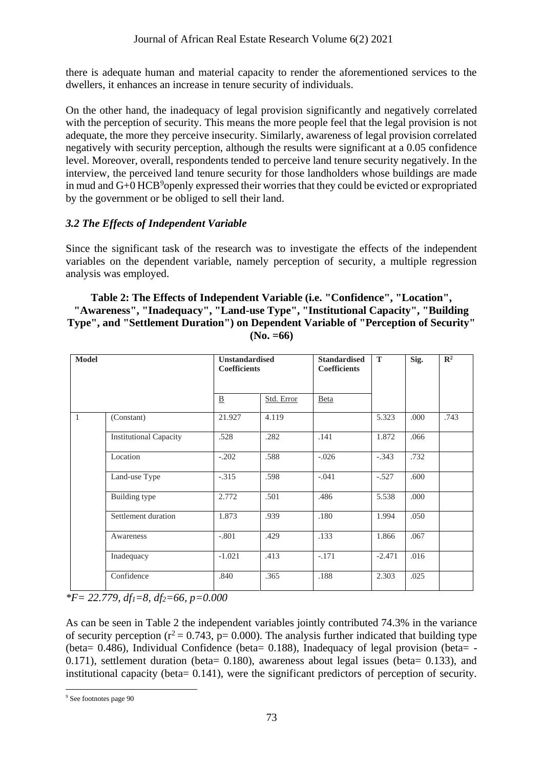there is adequate human and material capacity to render the aforementioned services to the dwellers, it enhances an increase in tenure security of individuals.

On the other hand, the inadequacy of legal provision significantly and negatively correlated with the perception of security. This means the more people feel that the legal provision is not adequate, the more they perceive insecurity. Similarly, awareness of legal provision correlated negatively with security perception, although the results were significant at a 0.05 confidence level. Moreover, overall, respondents tended to perceive land tenure security negatively. In the interview, the perceived land tenure security for those landholders whose buildings are made in mud and  $G+0$  HCB<sup>9</sup>openly expressed their worries that they could be evicted or expropriated by the government or be obliged to sell their land.

## *3.2 The Effects of Independent Variable*

Since the significant task of the research was to investigate the effects of the independent variables on the dependent variable, namely perception of security, a multiple regression analysis was employed.

#### **Table 2: The Effects of Independent Variable (i.e. "Confidence", "Location", "Awareness", "Inadequacy", "Land-use Type", "Institutional Capacity", "Building Type", and "Settlement Duration") on Dependent Variable of "Perception of Security" (No. =66)**

| <b>Model</b> |                               | <b>Unstandardised</b><br><b>Coefficients</b> |            | <b>Standardised</b><br><b>Coefficients</b> | T        | Sig. | $\mathbb{R}^2$ |
|--------------|-------------------------------|----------------------------------------------|------------|--------------------------------------------|----------|------|----------------|
|              |                               | $\underline{\mathbf{B}}$                     | Std. Error | Beta                                       |          |      |                |
| $\mathbf{1}$ | (Constant)                    | 21.927                                       | 4.119      |                                            | 5.323    | .000 | .743           |
|              | <b>Institutional Capacity</b> | .528                                         | .282       | .141                                       | 1.872    | .066 |                |
|              | Location                      | $-.202$                                      | .588       | $-.026$                                    | $-.343$  | .732 |                |
|              | Land-use Type                 | $-.315$                                      | .598       | $-.041$                                    | $-.527$  | .600 |                |
|              | Building type                 | 2.772                                        | .501       | .486                                       | 5.538    | .000 |                |
|              | Settlement duration           | 1.873                                        | .939       | .180                                       | 1.994    | .050 |                |
|              | Awareness                     | $-.801$                                      | .429       | .133                                       | 1.866    | .067 |                |
|              | Inadequacy                    | $-1.021$                                     | .413       | $-.171$                                    | $-2.471$ | .016 |                |
|              | Confidence                    | .840                                         | .365       | .188                                       | 2.303    | .025 |                |

*\*F= 22.779, df1=8, df2=66, p=0.000*

As can be seen in Table 2 the independent variables jointly contributed 74.3% in the variance of security perception ( $r^2 = 0.743$ , p= 0.000). The analysis further indicated that building type (beta= 0.486), Individual Confidence (beta= 0.188), Inadequacy of legal provision (beta= - 0.171), settlement duration (beta= 0.180), awareness about legal issues (beta= 0.133), and institutional capacity (beta= 0.141), were the significant predictors of perception of security.

<sup>&</sup>lt;sup>9</sup> See footnotes page 90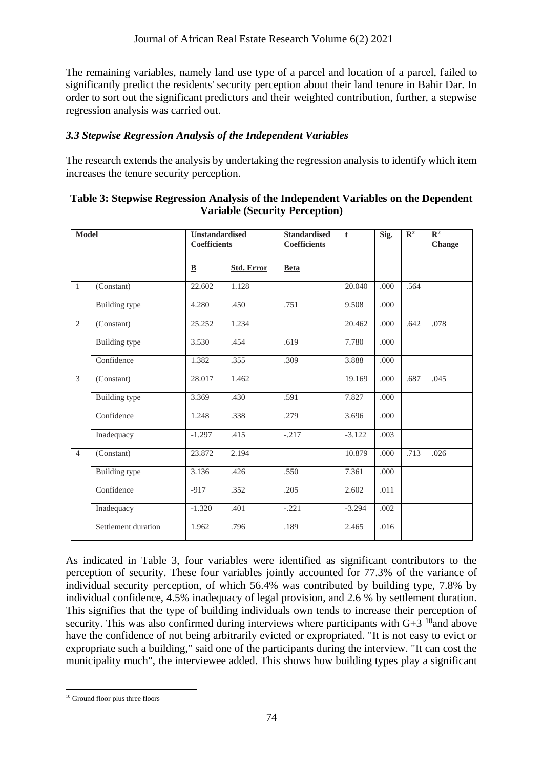The remaining variables, namely land use type of a parcel and location of a parcel, failed to significantly predict the residents' security perception about their land tenure in Bahir Dar. In order to sort out the significant predictors and their weighted contribution, further, a stepwise regression analysis was carried out.

### *3.3 Stepwise Regression Analysis of the Independent Variables*

The research extends the analysis by undertaking the regression analysis to identify which item increases the tenure security perception.

| <b>Model</b>   |                     | <b>Unstandardised</b><br><b>Coefficients</b> |                   | <b>Standardised</b><br><b>Coefficients</b> | $\mathbf t$ | Sig. | $\overline{\mathbb{R}^2}$ | $\overline{\mathbb{R}^2}$<br>Change |
|----------------|---------------------|----------------------------------------------|-------------------|--------------------------------------------|-------------|------|---------------------------|-------------------------------------|
|                |                     | $\mathbf{\underline{B}}$                     | <b>Std. Error</b> | <b>Beta</b>                                |             |      |                           |                                     |
| $\mathbf{1}$   | (Constant)          | 22.602                                       | 1.128             |                                            | 20.040      | .000 | .564                      |                                     |
|                | Building type       | 4.280                                        | .450              | .751                                       | 9.508       | .000 |                           |                                     |
| 2              | (Constant)          | 25.252                                       | 1.234             |                                            | 20.462      | .000 | .642                      | .078                                |
|                | Building type       | 3.530                                        | .454              | .619                                       | 7.780       | .000 |                           |                                     |
|                | Confidence          | 1.382                                        | .355              | .309                                       | 3.888       | .000 |                           |                                     |
| 3              | (Constant)          | 28.017                                       | 1.462             |                                            | 19.169      | .000 | .687                      | .045                                |
|                | Building type       | 3.369                                        | .430              | .591                                       | 7.827       | .000 |                           |                                     |
|                | Confidence          | 1.248                                        | .338              | .279                                       | 3.696       | .000 |                           |                                     |
|                | Inadequacy          | $-1.297$                                     | .415              | $-.217$                                    | $-3.122$    | .003 |                           |                                     |
| $\overline{4}$ | (Constant)          | 23.872                                       | 2.194             |                                            | 10.879      | .000 | .713                      | .026                                |
|                | Building type       | 3.136                                        | .426              | .550                                       | 7.361       | .000 |                           |                                     |
|                | Confidence          | $-917$                                       | .352              | .205                                       | 2.602       | .011 |                           |                                     |
|                | Inadequacy          | $-1.320$                                     | .401              | $-.221$                                    | $-3.294$    | .002 |                           |                                     |
|                | Settlement duration | 1.962                                        | .796              | .189                                       | 2.465       | .016 |                           |                                     |

| Table 3: Stepwise Regression Analysis of the Independent Variables on the Dependent |
|-------------------------------------------------------------------------------------|
| <b>Variable (Security Perception)</b>                                               |

As indicated in Table 3, four variables were identified as significant contributors to the perception of security. These four variables jointly accounted for 77.3% of the variance of individual security perception, of which 56.4% was contributed by building type, 7.8% by individual confidence, 4.5% inadequacy of legal provision, and 2.6 % by settlement duration. This signifies that the type of building individuals own tends to increase their perception of security. This was also confirmed during interviews where participants with  $G+3$  <sup>10</sup> and above have the confidence of not being arbitrarily evicted or expropriated. "It is not easy to evict or expropriate such a building," said one of the participants during the interview. "It can cost the municipality much", the interviewee added. This shows how building types play a significant

<sup>&</sup>lt;sup>10</sup> Ground floor plus three floors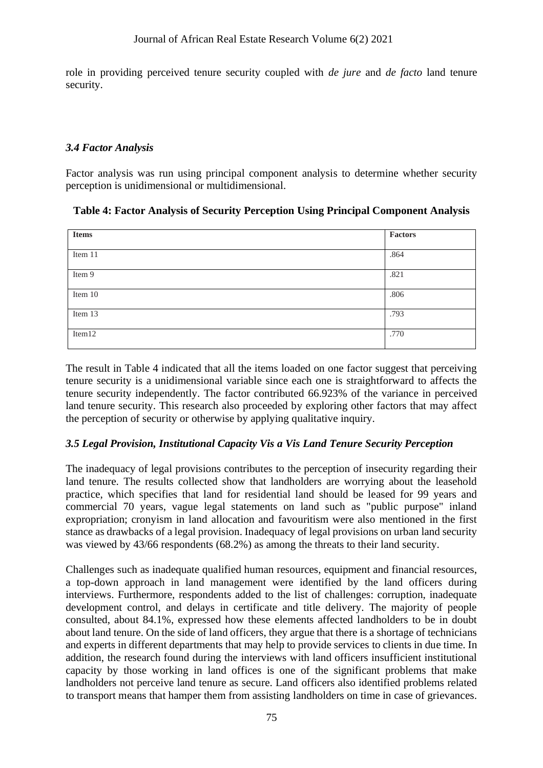role in providing perceived tenure security coupled with *de jure* and *de facto* land tenure security.

### *3.4 Factor Analysis*

Factor analysis was run using principal component analysis to determine whether security perception is unidimensional or multidimensional.

| <b>Items</b> | Factors |
|--------------|---------|
| Item 11      | .864    |
| Item 9       | .821    |
| Item 10      | .806    |
| Item 13      | .793    |
| Item12       | .770    |

**Table 4: Factor Analysis of Security Perception Using Principal Component Analysis**

The result in Table 4 indicated that all the items loaded on one factor suggest that perceiving tenure security is a unidimensional variable since each one is straightforward to affects the tenure security independently. The factor contributed 66.923% of the variance in perceived land tenure security. This research also proceeded by exploring other factors that may affect the perception of security or otherwise by applying qualitative inquiry.

## *3.5 Legal Provision, Institutional Capacity Vis a Vis Land Tenure Security Perception*

The inadequacy of legal provisions contributes to the perception of insecurity regarding their land tenure. The results collected show that landholders are worrying about the leasehold practice, which specifies that land for residential land should be leased for 99 years and commercial 70 years, vague legal statements on land such as "public purpose" inland expropriation; cronyism in land allocation and favouritism were also mentioned in the first stance as drawbacks of a legal provision. Inadequacy of legal provisions on urban land security was viewed by 43/66 respondents (68.2%) as among the threats to their land security.

Challenges such as inadequate qualified human resources, equipment and financial resources, a top-down approach in land management were identified by the land officers during interviews. Furthermore, respondents added to the list of challenges: corruption, inadequate development control, and delays in certificate and title delivery. The majority of people consulted, about 84.1%, expressed how these elements affected landholders to be in doubt about land tenure. On the side of land officers, they argue that there is a shortage of technicians and experts in different departments that may help to provide services to clients in due time. In addition, the research found during the interviews with land officers insufficient institutional capacity by those working in land offices is one of the significant problems that make landholders not perceive land tenure as secure. Land officers also identified problems related to transport means that hamper them from assisting landholders on time in case of grievances.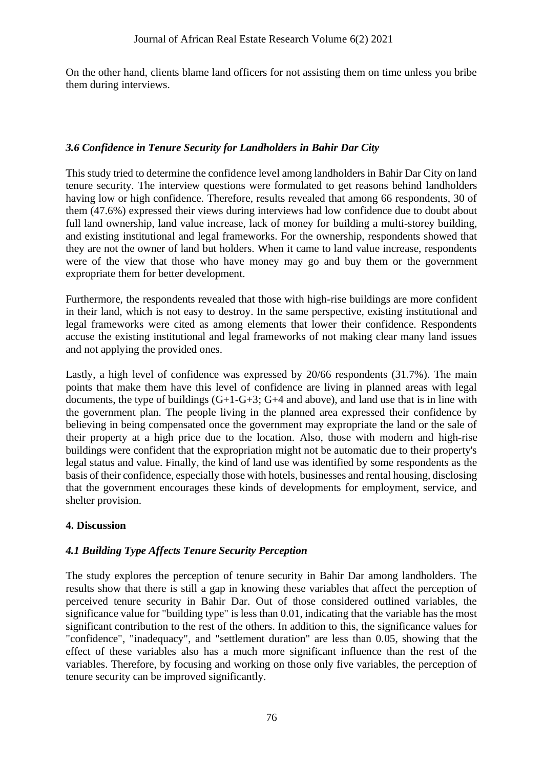On the other hand, clients blame land officers for not assisting them on time unless you bribe them during interviews.

### *3.6 Confidence in Tenure Security for Landholders in Bahir Dar City*

This study tried to determine the confidence level among landholders in Bahir Dar City on land tenure security. The interview questions were formulated to get reasons behind landholders having low or high confidence. Therefore, results revealed that among 66 respondents, 30 of them (47.6%) expressed their views during interviews had low confidence due to doubt about full land ownership, land value increase, lack of money for building a multi-storey building, and existing institutional and legal frameworks. For the ownership, respondents showed that they are not the owner of land but holders. When it came to land value increase, respondents were of the view that those who have money may go and buy them or the government expropriate them for better development.

Furthermore, the respondents revealed that those with high-rise buildings are more confident in their land, which is not easy to destroy. In the same perspective, existing institutional and legal frameworks were cited as among elements that lower their confidence. Respondents accuse the existing institutional and legal frameworks of not making clear many land issues and not applying the provided ones.

Lastly, a high level of confidence was expressed by 20/66 respondents (31.7%). The main points that make them have this level of confidence are living in planned areas with legal documents, the type of buildings  $(G+1-G+3; G+4$  and above), and land use that is in line with the government plan. The people living in the planned area expressed their confidence by believing in being compensated once the government may expropriate the land or the sale of their property at a high price due to the location. Also, those with modern and high-rise buildings were confident that the expropriation might not be automatic due to their property's legal status and value. Finally, the kind of land use was identified by some respondents as the basis of their confidence, especially those with hotels, businesses and rental housing, disclosing that the government encourages these kinds of developments for employment, service, and shelter provision.

#### **4. Discussion**

## *4.1 Building Type Affects Tenure Security Perception*

The study explores the perception of tenure security in Bahir Dar among landholders. The results show that there is still a gap in knowing these variables that affect the perception of perceived tenure security in Bahir Dar. Out of those considered outlined variables, the significance value for "building type" is less than 0.01, indicating that the variable has the most significant contribution to the rest of the others. In addition to this, the significance values for "confidence", "inadequacy", and "settlement duration" are less than 0.05, showing that the effect of these variables also has a much more significant influence than the rest of the variables. Therefore, by focusing and working on those only five variables, the perception of tenure security can be improved significantly.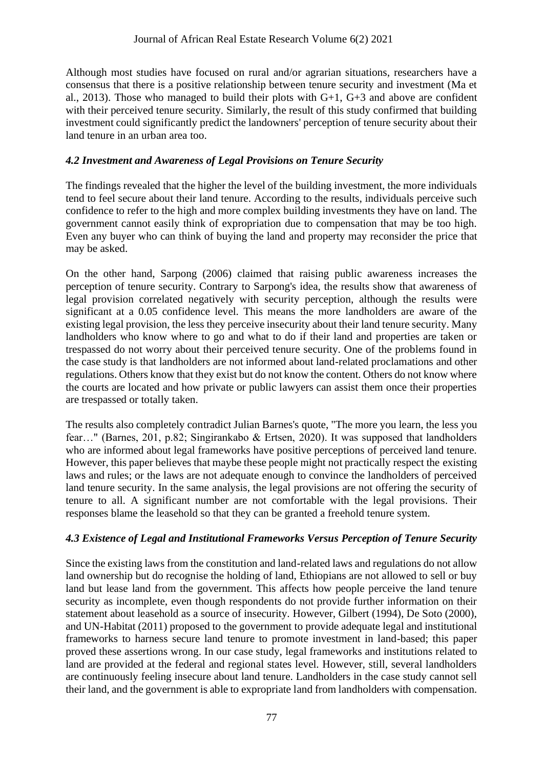Although most studies have focused on rural and/or agrarian situations, researchers have a consensus that there is a positive relationship between tenure security and investment (Ma et al., 2013). Those who managed to build their plots with  $G+1$ ,  $G+3$  and above are confident with their perceived tenure security. Similarly, the result of this study confirmed that building investment could significantly predict the landowners' perception of tenure security about their land tenure in an urban area too.

## *4.2 Investment and Awareness of Legal Provisions on Tenure Security*

The findings revealed that the higher the level of the building investment, the more individuals tend to feel secure about their land tenure. According to the results, individuals perceive such confidence to refer to the high and more complex building investments they have on land. The government cannot easily think of expropriation due to compensation that may be too high. Even any buyer who can think of buying the land and property may reconsider the price that may be asked.

On the other hand, Sarpong (2006) claimed that raising public awareness increases the perception of tenure security. Contrary to Sarpong's idea, the results show that awareness of legal provision correlated negatively with security perception, although the results were significant at a 0.05 confidence level. This means the more landholders are aware of the existing legal provision, the less they perceive insecurity about their land tenure security. Many landholders who know where to go and what to do if their land and properties are taken or trespassed do not worry about their perceived tenure security. One of the problems found in the case study is that landholders are not informed about land-related proclamations and other regulations. Others know that they exist but do not know the content. Others do not know where the courts are located and how private or public lawyers can assist them once their properties are trespassed or totally taken.

The results also completely contradict Julian Barnes's quote, "The more you learn, the less you fear…" (Barnes, 201, p.82; Singirankabo & Ertsen, 2020). It was supposed that landholders who are informed about legal frameworks have positive perceptions of perceived land tenure. However, this paper believes that maybe these people might not practically respect the existing laws and rules; or the laws are not adequate enough to convince the landholders of perceived land tenure security. In the same analysis, the legal provisions are not offering the security of tenure to all. A significant number are not comfortable with the legal provisions. Their responses blame the leasehold so that they can be granted a freehold tenure system.

## *4.3 Existence of Legal and Institutional Frameworks Versus Perception of Tenure Security*

Since the existing laws from the constitution and land-related laws and regulations do not allow land ownership but do recognise the holding of land, Ethiopians are not allowed to sell or buy land but lease land from the government. This affects how people perceive the land tenure security as incomplete, even though respondents do not provide further information on their statement about leasehold as a source of insecurity. However, Gilbert (1994), De Soto (2000), and UN-Habitat (2011) proposed to the government to provide adequate legal and institutional frameworks to harness secure land tenure to promote investment in land-based; this paper proved these assertions wrong. In our case study, legal frameworks and institutions related to land are provided at the federal and regional states level. However, still, several landholders are continuously feeling insecure about land tenure. Landholders in the case study cannot sell their land, and the government is able to expropriate land from landholders with compensation.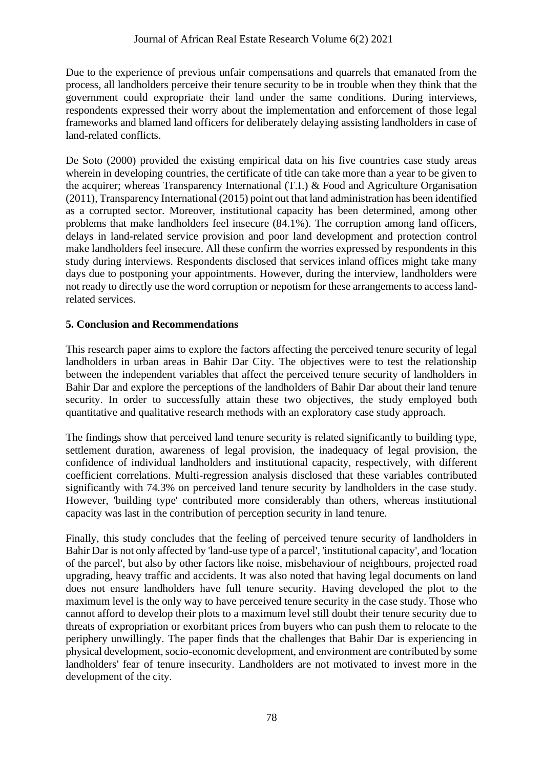Due to the experience of previous unfair compensations and quarrels that emanated from the process, all landholders perceive their tenure security to be in trouble when they think that the government could expropriate their land under the same conditions. During interviews, respondents expressed their worry about the implementation and enforcement of those legal frameworks and blamed land officers for deliberately delaying assisting landholders in case of land-related conflicts.

De Soto (2000) provided the existing empirical data on his five countries case study areas wherein in developing countries, the certificate of title can take more than a year to be given to the acquirer; whereas Transparency International (T.I.) & Food and Agriculture Organisation (2011), Transparency International (2015) point out that land administration has been identified as a corrupted sector. Moreover, institutional capacity has been determined, among other problems that make landholders feel insecure (84.1%). The corruption among land officers, delays in land-related service provision and poor land development and protection control make landholders feel insecure. All these confirm the worries expressed by respondents in this study during interviews. Respondents disclosed that services inland offices might take many days due to postponing your appointments. However, during the interview, landholders were not ready to directly use the word corruption or nepotism for these arrangements to access landrelated services.

## **5. Conclusion and Recommendations**

This research paper aims to explore the factors affecting the perceived tenure security of legal landholders in urban areas in Bahir Dar City. The objectives were to test the relationship between the independent variables that affect the perceived tenure security of landholders in Bahir Dar and explore the perceptions of the landholders of Bahir Dar about their land tenure security. In order to successfully attain these two objectives, the study employed both quantitative and qualitative research methods with an exploratory case study approach.

The findings show that perceived land tenure security is related significantly to building type, settlement duration, awareness of legal provision, the inadequacy of legal provision, the confidence of individual landholders and institutional capacity, respectively, with different coefficient correlations. Multi-regression analysis disclosed that these variables contributed significantly with 74.3% on perceived land tenure security by landholders in the case study. However, 'building type' contributed more considerably than others, whereas institutional capacity was last in the contribution of perception security in land tenure.

Finally, this study concludes that the feeling of perceived tenure security of landholders in Bahir Dar is not only affected by 'land-use type of a parcel', 'institutional capacity', and 'location of the parcel', but also by other factors like noise, misbehaviour of neighbours, projected road upgrading, heavy traffic and accidents. It was also noted that having legal documents on land does not ensure landholders have full tenure security. Having developed the plot to the maximum level is the only way to have perceived tenure security in the case study. Those who cannot afford to develop their plots to a maximum level still doubt their tenure security due to threats of expropriation or exorbitant prices from buyers who can push them to relocate to the periphery unwillingly. The paper finds that the challenges that Bahir Dar is experiencing in physical development, socio-economic development, and environment are contributed by some landholders' fear of tenure insecurity. Landholders are not motivated to invest more in the development of the city.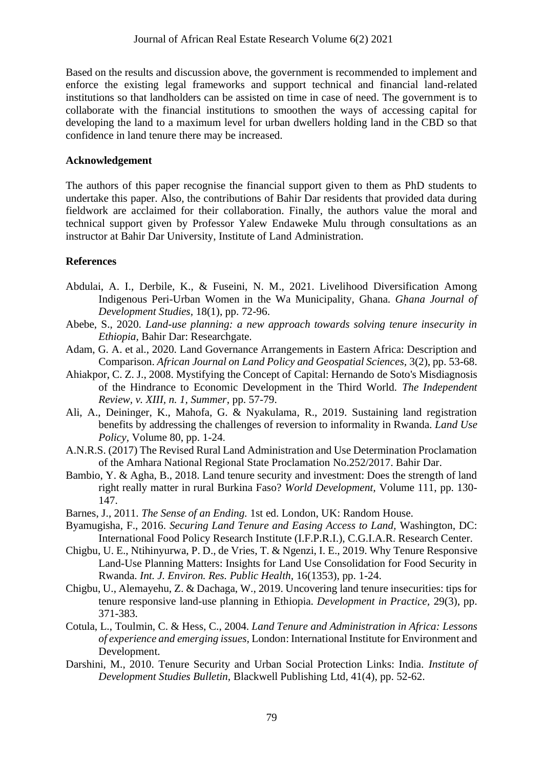Based on the results and discussion above, the government is recommended to implement and enforce the existing legal frameworks and support technical and financial land-related institutions so that landholders can be assisted on time in case of need. The government is to collaborate with the financial institutions to smoothen the ways of accessing capital for developing the land to a maximum level for urban dwellers holding land in the CBD so that confidence in land tenure there may be increased.

#### **Acknowledgement**

The authors of this paper recognise the financial support given to them as PhD students to undertake this paper. Also, the contributions of Bahir Dar residents that provided data during fieldwork are acclaimed for their collaboration. Finally, the authors value the moral and technical support given by Professor Yalew Endaweke Mulu through consultations as an instructor at Bahir Dar University, Institute of Land Administration.

### **References**

- Abdulai, A. I., Derbile, K., & Fuseini, N. M., 2021. Livelihood Diversification Among Indigenous Peri-Urban Women in the Wa Municipality, Ghana. *Ghana Journal of Development Studies,* 18(1), pp. 72-96.
- Abebe, S., 2020. *Land-use planning: a new approach towards solving tenure insecurity in Ethiopia,* Bahir Dar: Researchgate.
- Adam, G. A. et al., 2020. Land Governance Arrangements in Eastern Africa: Description and Comparison. *African Journal on Land Policy and Geospatial Sciences,* 3(2), pp. 53-68.
- Ahiakpor, C. Z. J., 2008. Mystifying the Concept of Capital: Hernando de Soto's Misdiagnosis of the Hindrance to Economic Development in the Third World. *The Independent Review, v. XIII, n. 1, Summer*, pp. 57-79.
- Ali, A., Deininger, K., Mahofa, G. & Nyakulama, R., 2019. Sustaining land registration benefits by addressing the challenges of reversion to informality in Rwanda. *Land Use Policy,* Volume 80, pp. 1-24.
- A.N.R.S. (2017) The Revised Rural Land Administration and Use Determination Proclamation of the Amhara National Regional State Proclamation No.252/2017. Bahir Dar.
- Bambio, Y. & Agha, B., 2018. Land tenure security and investment: Does the strength of land right really matter in rural Burkina Faso? *World Development,* Volume 111, pp. 130- 147.
- Barnes, J., 2011. *The Sense of an Ending.* 1st ed. London, UK: Random House.
- Byamugisha, F., 2016. *Securing Land Tenure and Easing Access to Land,* Washington, DC: International Food Policy Research Institute (I.F.P.R.I.), C.G.I.A.R. Research Center.
- Chigbu, U. E., Ntihinyurwa, P. D., de Vries, T. & Ngenzi, I. E., 2019. Why Tenure Responsive Land-Use Planning Matters: Insights for Land Use Consolidation for Food Security in Rwanda. *Int. J. Environ. Res. Public Health,* 16(1353), pp. 1-24.
- Chigbu, U., Alemayehu, Z. & Dachaga, W., 2019. Uncovering land tenure insecurities: tips for tenure responsive land-use planning in Ethiopia. *Development in Practice,* 29(3), pp. 371-383.
- Cotula, L., Toulmin, C. & Hess, C., 2004. *Land Tenure and Administration in Africa: Lessons of experience and emerging issues,* London: International Institute for Environment and Development.
- Darshini, M., 2010. Tenure Security and Urban Social Protection Links: India. *Institute of Development Studies Bulletin,* Blackwell Publishing Ltd*,* 41(4), pp. 52-62.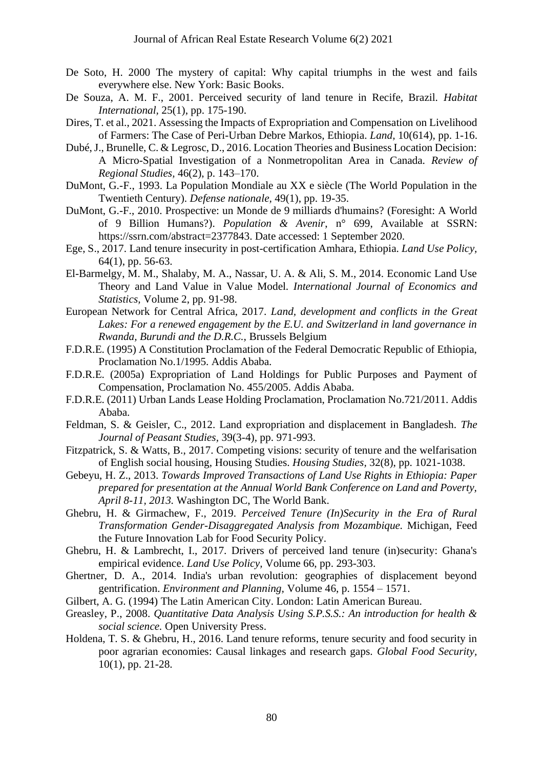- De Soto, H. 2000 The mystery of capital: Why capital triumphs in the west and fails everywhere else. New York: Basic Books.
- De Souza, A. M. F., 2001. Perceived security of land tenure in Recife, Brazil. *Habitat International,* 25(1), pp. 175-190.
- Dires, T. et al., 2021. Assessing the Impacts of Expropriation and Compensation on Livelihood of Farmers: The Case of Peri-Urban Debre Markos, Ethiopia. *Land,* 10(614), pp. 1-16.
- Dubé, J., Brunelle, C. & Legrosc, D., 2016. Location Theories and Business Location Decision: A Micro-Spatial Investigation of a Nonmetropolitan Area in Canada. *Review of Regional Studies,* 46(2), p. 143–170.
- DuMont, G.-F., 1993. La Population Mondiale au XX e siècle (The World Population in the Twentieth Century). *Defense nationale,* 49(1), pp. 19-35.
- DuMont, G.-F., 2010. Prospective: un Monde de 9 milliards d'humains? (Foresight: A World of 9 Billion Humans?). *Population & Avenir*, n° 699, Available at SSRN: https://ssrn.com/abstract=2377843. Date accessed: 1 September 2020.
- Ege, S., 2017. Land tenure insecurity in post-certification Amhara, Ethiopia. *Land Use Policy,*  64(1), pp. 56-63.
- El-Barmelgy, M. M., Shalaby, M. A., Nassar, U. A. & Ali, S. M., 2014. Economic Land Use Theory and Land Value in Value Model. *International Journal of Economics and Statistics,* Volume 2, pp. 91-98.
- European Network for Central Africa, 2017. *Land, development and conflicts in the Great Lakes: For a renewed engagement by the E.U. and Switzerland in land governance in Rwanda, Burundi and the D.R.C.,* Brussels Belgium
- F.D.R.E. (1995) A Constitution Proclamation of the Federal Democratic Republic of Ethiopia, Proclamation No.1/1995. Addis Ababa.
- F.D.R.E. (2005a) Expropriation of Land Holdings for Public Purposes and Payment of Compensation, Proclamation No. 455/2005. Addis Ababa.
- F.D.R.E. (2011) Urban Lands Lease Holding Proclamation, Proclamation No.721/2011. Addis Ababa.
- Feldman, S. & Geisler, C., 2012. Land expropriation and displacement in Bangladesh. *The Journal of Peasant Studies,* 39(3-4), pp. 971-993.
- Fitzpatrick, S. & Watts, B., 2017. Competing visions: security of tenure and the welfarisation of English social housing, Housing Studies. *Housing Studies,* 32(8), pp. 1021-1038.
- Gebeyu, H. Z., 2013. *Towards Improved Transactions of Land Use Rights in Ethiopia: Paper prepared for presentation at the Annual World Bank Conference on Land and Poverty, April 8-11, 2013.* Washington DC, The World Bank.
- Ghebru, H. & Girmachew, F., 2019. *Perceived Tenure (In)Security in the Era of Rural Transformation Gender-Disaggregated Analysis from Mozambique.* Michigan, Feed the Future Innovation Lab for Food Security Policy.
- Ghebru, H. & Lambrecht, I., 2017. Drivers of perceived land tenure (in)security: Ghana's empirical evidence. *Land Use Policy,* Volume 66, pp. 293-303.
- Ghertner, D. A., 2014. India's urban revolution: geographies of displacement beyond gentrification. *Environment and Planning,* Volume 46, p. 1554 – 1571.
- Gilbert, A. G. (1994) The Latin American City. London: Latin American Bureau.
- Greasley, P., 2008. *Quantitative Data Analysis Using S.P.S.S.: An introduction for health & social science.* Open University Press.
- Holdena, T. S. & Ghebru, H., 2016. Land tenure reforms, tenure security and food security in poor agrarian economies: Causal linkages and research gaps. *Global Food Security,*  10(1), pp. 21-28.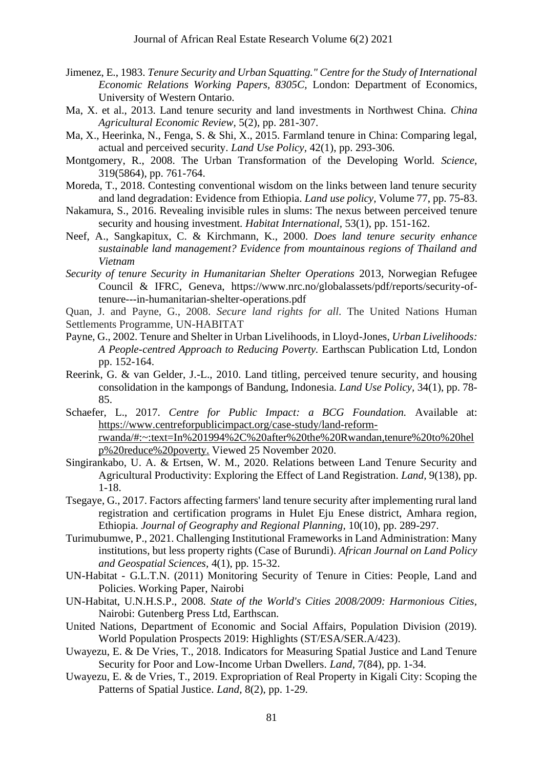- Jimenez, E., 1983. *Tenure Security and Urban Squatting." Centre for the Study of International Economic Relations Working Papers, 8305C,* London: Department of Economics, University of Western Ontario.
- Ma, X. et al., 2013. Land tenure security and land investments in Northwest China. *China Agricultural Economic Review,* 5(2), pp. 281-307.
- Ma, X., Heerinka, N., Fenga, S. & Shi, X., 2015. Farmland tenure in China: Comparing legal, actual and perceived security. *Land Use Policy,* 42(1), pp. 293-306.
- Montgomery, R., 2008. The Urban Transformation of the Developing World. *Science,*  319(5864), pp. 761-764.
- Moreda, T., 2018. Contesting conventional wisdom on the links between land tenure security and land degradation: Evidence from Ethiopia. *Land use policy,* Volume 77, pp. 75-83.
- Nakamura, S., 2016. Revealing invisible rules in slums: The nexus between perceived tenure security and housing investment. *Habitat International,* 53(1), pp. 151-162.
- Neef, A., Sangkapitux, C. & Kirchmann, K., 2000. *Does land tenure security enhance sustainable land management? Evidence from mountainous regions of Thailand and Vietnam*
- *Security of tenure Security in Humanitarian Shelter Operations* 2013*,* Norwegian Refugee Council & IFRC*,* Geneva, https://www.nrc.no/globalassets/pdf/reports/security-oftenure---in-humanitarian-shelter-operations.pdf
- Quan, J. and Payne, G., 2008. *Secure land rights for all*. The United Nations Human Settlements Programme, UN-HABITAT
- Payne, G., 2002. Tenure and Shelter in Urban Livelihoods, in Lloyd-Jones, *Urban Livelihoods: A People-centred Approach to Reducing Poverty.* Earthscan Publication Ltd, London pp. 152-164.
- Reerink, G. & van Gelder, J.-L., 2010. Land titling, perceived tenure security, and housing consolidation in the kampongs of Bandung, Indonesia. *Land Use Policy,* 34(1), pp. 78- 85.
- Schaefer, L., 2017. *Centre for Public Impact: a BCG Foundation.* Available at: [https://www.centreforpublicimpact.org/case-study/land-reform](https://www.centreforpublicimpact.org/case-study/land-reform-rwanda/#:~:text=In%201994%2C%20after%20the%20Rwandan,tenure%20to%20help%20reduce%20poverty)[rwanda/#:~:text=In%201994%2C%20after%20the%20Rwandan,tenure%20to%20hel](https://www.centreforpublicimpact.org/case-study/land-reform-rwanda/#:~:text=In%201994%2C%20after%20the%20Rwandan,tenure%20to%20help%20reduce%20poverty) [p%20reduce%20poverty.](https://www.centreforpublicimpact.org/case-study/land-reform-rwanda/#:~:text=In%201994%2C%20after%20the%20Rwandan,tenure%20to%20help%20reduce%20poverty) Viewed 25 November 2020.
- Singirankabo, U. A. & Ertsen, W. M., 2020. Relations between Land Tenure Security and Agricultural Productivity: Exploring the Effect of Land Registration. *Land,* 9(138), pp. 1-18.
- Tsegaye, G., 2017. Factors affecting farmers' land tenure security after implementing rural land registration and certification programs in Hulet Eju Enese district, Amhara region, Ethiopia. *Journal of Geography and Regional Planning,* 10(10), pp. 289-297.
- Turimubumwe, P., 2021. Challenging Institutional Frameworks in Land Administration: Many institutions, but less property rights (Case of Burundi). *African Journal on Land Policy and Geospatial Sciences,* 4(1), pp. 15-32.
- UN-Habitat G.L.T.N. (2011) Monitoring Security of Tenure in Cities: People, Land and Policies. Working Paper, Nairobi
- UN-Habitat, U.N.H.S.P., 2008. *State of the World's Cities 2008/2009: Harmonious Cities,*  Nairobi: Gutenberg Press Ltd, Earthscan.
- United Nations, Department of Economic and Social Affairs, Population Division (2019). World Population Prospects 2019: Highlights (ST/ESA/SER.A/423).
- Uwayezu, E. & De Vries, T., 2018. Indicators for Measuring Spatial Justice and Land Tenure Security for Poor and Low-Income Urban Dwellers. *Land,* 7(84), pp. 1-34.
- Uwayezu, E. & de Vries, T., 2019. Expropriation of Real Property in Kigali City: Scoping the Patterns of Spatial Justice. *Land,* 8(2), pp. 1-29.